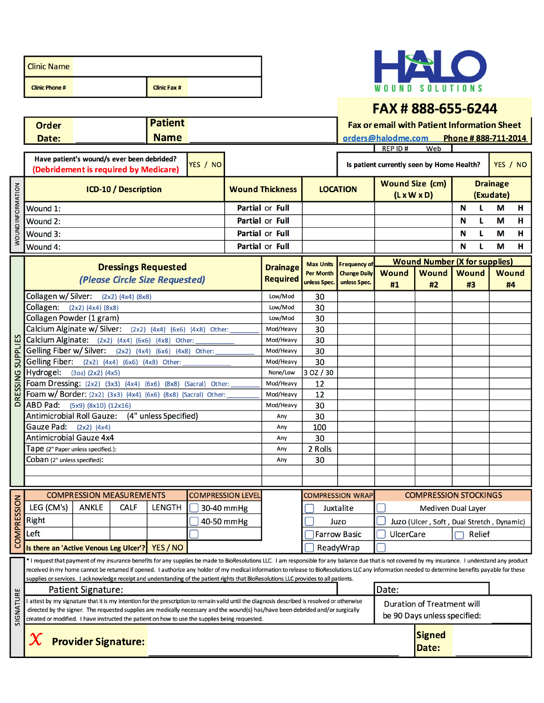| <b>Clinic Name</b>    |                     |  |
|-----------------------|---------------------|--|
| <b>Clinic Phone #</b> | <b>Clinic Fax #</b> |  |

WOUND INFORMATION



#### FAX#888-655-6244

**Patient** Order **Fax or email with Patient Information Sheet Name** Phone #888-711-2014 orders@halodme.com Date:  $REPID#$ Web Have patient's wound/s ever been debrided? YES / NO YES / NO Is patient currently seen by Home Health? (Debridement is required by Medicare) **Wound Size (cm) Drainage LOCATION ICD-10 / Description Wound Thickness**  $(L \times W \times D)$ (Exudate) **Partial or Full** N Wound 1: L M н Wound  $2:$ Partial or Full N L. M  $\overline{H}$ Partial or Full N Ĺ Ĥ Wound 3: M Wound 4: **Partial or Full** N ī. M  $H$ **Wound Number (X for supplies) Max Units Frequency of Dressings Requested Drainage Wound** Wound Wound **Wound** Per Month **Change Daily** (Please Circle Size Requested) **Required** unless Spec. unless Spec. #1 #2 #3 #4 Collagen w/ Silver:  $(2x2)$   $(4x4)$   $(8x8)$ Low/Mod 30 Collagen: (2x2) (4x4) (8x8) Low/Mod 30 Collagen Powder (1 gram) Low/Mod 30 Calcium Alginate w/ Silver:  $(2x2)$   $(4x4)$   $(6x6)$   $(4x8)$  Other: Mod/Heavy 30 **Calcium Alginate:**  $(2x2)$   $(4x4)$   $(6x6)$   $(4x8)$ **SUPPLIES** Mod/Heavy 30 Other: Gelling Fiber w/ Silver: (2x2) (4x4) (6x6) (4x8) Other: Mod/Heavy 30 Gelling Fiber: (2x2) (4x4) (6x6) (4x8) Other: Mod/Heavy 30 Hydrogel: (3oz) (2x2) (4x5) None/Low 3 OZ / 30 **DRESSING** Foam Dressing:  $(2x2)$   $(3x3)$   $(4x4)$   $(6x6)$  $(8x8)$  (Sacral) Mod/Heavy  $12$ Other: Foam w/ Border: (2x2) (3x3) (4x4) (6x6) (8x8) (Sacral) Other: Mod/Heavy  $12$ ABD Pad: (5x9) (8x10) (12x16) Mod/Heavy 30 **Antimicrobial Roll Gauze:** (4" unless Specified) Any 30 Gauze Pad:  $(2x2)$   $(4x4)$ 100 Any **Antimicrobial Gauze 4x4** 30 Any Tape (2" Paper unless specified.): Any 2 Rolls Coban (2" unless specified): Any 30 **COMPRESSION STOCKINGS COMPRESSION MEASUREMENTS COMPRESSION LEVEL COMPRESSION WRAP COMPRESSION** LEG (CM's) **ANKLE CALF LENGTH** 30-40 mmHg Juxtalite Mediven Dual Layer Right  $\sqrt{ }$  40-50 mmHg Juzo Juzo (Ulcer, Soft, Dual Stretch, Dynamic) Left Farrow Basic **UlcerCare** Relief Is there an 'Active Venous Leg Ulcer'? | YES / NO ReadyWrap \* I request that payment of my insurance benefits for any supplies be made to BioResolutions LLC. I am responsible for any balance due that is not covered by my insurance. I understand any product received in my home cannot be returned if opened. I authorize any holder of my medical information to release to BioResolutions LLC any information needed to determine benefits payable for these supplies or services. I acknowledge receipt and understanding of the patient rights that BioResolutions LLC provides to all patients. Date: **Patient Signature:** SIGNATURE I attest by my signature that it is my intention for the prescription to remain valid until the diagnosis described is resolved or otherwise **Duration of Treatment will** directed by the signer. The requested supplies are medically necessary and the wound(s) has/have been debrided and/or surgically be 90 Days unless specified: created or modified. I have instructed the patient on how to use the supplies being requested.



**Signed** Date: